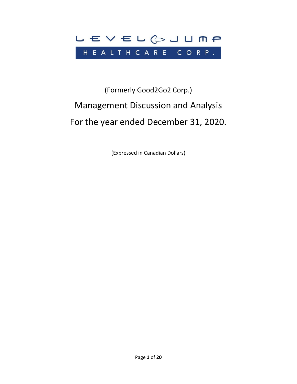

# (Formerly Good2Go2 Corp.) Management Discussion and Analysis For the year ended December 31, 2020.

(Expressed in Canadian Dollars)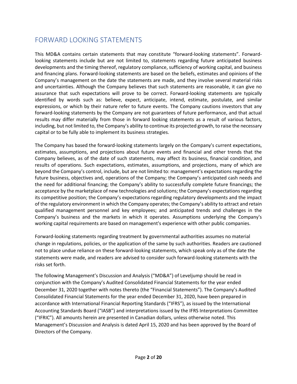# FORWARD LOOKING STATEMENTS

This MD&A contains certain statements that may constitute "forward‐looking statements". Forward‐ looking statements include but are not limited to, statements regarding future anticipated business developments and the timing thereof, regulatory compliance, sufficiency of working capital, and business and financing plans. Forward-looking statements are based on the beliefs, estimates and opinions of the Company's management on the date the statements are made, and they involve several material risks and uncertainties. Although the Company believes that such statements are reasonable, it can give no assurance that such expectations will prove to be correct. Forward-looking statements are typically identified by words such as: believe, expect, anticipate, intend, estimate, postulate, and similar expressions, or which by their nature refer to future events. The Company cautions investors that any forward‐looking statements by the Company are not guarantees of future performance, and that actual results may differ materially from those in forward looking statements as a result of various factors, including, but not limited to, the Company's ability to continue its projected growth, to raise the necessary capital or to be fully able to implement its business strategies.

The Company has based the forward-looking statements largely on the Company's current expectations, estimates, assumptions, and projections about future events and financial and other trends that the Company believes, as of the date of such statements, may affect its business, financial condition, and results of operations. Such expectations, estimates, assumptions, and projections, many of which are beyond the Company's control, include, but are not limited to: management's expectations regarding the future business, objectives and, operations of the Company; the Company's anticipated cash needs and the need for additional financing; the Company's ability to successfully complete future financings; the acceptance by the marketplace of new technologies and solutions; the Company's expectations regarding its competitive position; the Company's expectations regarding regulatory developments and the impact of the regulatory environment in which the Company operates; the Company's ability to attract and retain qualified management personnel and key employees; and anticipated trends and challenges in the Company's business and the markets in which it operates. Assumptions underlying the Company's working capital requirements are based on management's experience with other public companies.

Forward-looking statements regarding treatment by governmental authorities assumes no material change in regulations, policies, or the application of the same by such authorities. Readers are cautioned not to place undue reliance on these forward-looking statements, which speak only as of the date the statements were made, and readers are advised to consider such forward-looking statements with the risks set forth.

The following Management's Discussion and Analysis ("MD&A") of Leveljump should be read in conjunction with the Company's Audited Consolidated Financial Statements for the year ended December 31, 2020 together with notes thereto (the "Financial Statements"). The Company's Audited Consolidated Financial Statements for the year ended December 31, 2020, have been prepared in accordance with International Financial Reporting Standards ("IFRS"), as issued by the International Accounting Standards Board ("IASB") and interpretations issued by the IFRS Interpretations Committee ("IFRIC"). All amounts herein are presented in Canadian dollars, unless otherwise noted. This Management's Discussion and Analysis is dated April 15, 2020 and has been approved by the Board of Directors of the Company.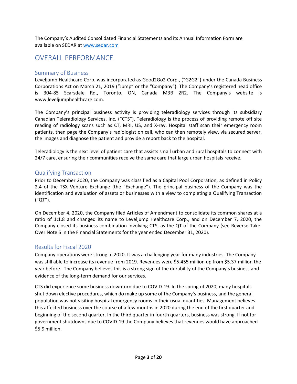The Company's Audited Consolidated Financial Statements and its Annual Information Form are available on SEDAR a[t www.sedar.com](http://www.sedar.com/)

# OVERALL PERFORMANCE

# Summary of Business

Leveljump Healthcare Corp. was incorporated as Good2Go2 Corp., ("G2G2") under the Canada Business Corporations Act on March 21, 2019 ("Jump" or the "Company"). The Company's registered head office is 304-85 Scarsdale Rd., Toronto, ON, Canada M3B 2R2. The Company's website is www.leveljumphealthcare.com.

The Company's principal business activity is providing teleradiology services through its subsidiary Canadian Teleradiology Services, Inc. ("CTS"). Teleradiology is the process of providing remote off site reading of radiology scans such as CT, MRI, US, and X-ray. Hospital staff scan their emergency room patients, then page the Company's radiologist on call, who can then remotely view, via secured server, the images and diagnose the patient and provide a report back to the hospital.

Teleradiology is the next level of patient care that assists small urban and rural hospitals to connect with 24/7 care, ensuring their communities receive the same care that large urban hospitals receive.

# Qualifying Transaction

Prior to December 2020, the Company was classified as a Capital Pool Corporation, as defined in Policy 2.4 of the TSX Venture Exchange (the "Exchange"). The principal business of the Company was the identification and evaluation of assets or businesses with a view to completing a Qualifying Transaction ("QT").

On December 4, 2020, the Company filed Articles of Amendment to consolidate its common shares at a ratio of 1:1.8 and changed its name to Leveljump Healthcare Corp., and on December 7, 2020, the Company closed its business combination involving CTS, as the QT of the Company (see Reverse Take-Over Note 5 in the Financial Statements for the year ended December 31, 2020).

# Results for Fiscal 2020

Company operations were strong in 2020. It was a challenging year for many industries. The Company was still able to increase its revenue from 2019. Revenues were \$5.455 million up from \$5.37 million the year before. The Company believes this is a strong sign of the durability of the Company's business and evidence of the long-term demand for our services.

CTS did experience some business downturn due to COVID-19. In the spring of 2020, many hospitals shut down elective procedures, which do make up some of the Company's business, and the general population was not visiting hospital emergency rooms in their usual quantities. Management believes this affected business over the course of a few months in 2020 during the end of the first quarter and beginning of the second quarter. In the third quarter in fourth quarters, business was strong. If not for government shutdowns due to COVID-19 the Company believes that revenues would have approached \$5.9 million.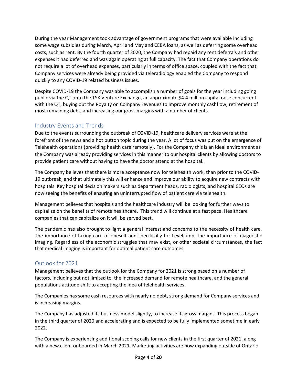During the year Management took advantage of government programs that were available including some wage subsidies during March, April and May and CEBA loans, as well as deferring some overhead costs, such as rent. By the fourth quarter of 2020, the Company had repaid any rent deferrals and other expenses it had deferred and was again operating at full capacity. The fact that Company operations do not require a lot of overhead expenses, particularly in terms of office space, coupled with the fact that Company services were already being provided via teleradiology enabled the Company to respond quickly to any COVID-19 related business issues.

Despite COVID-19 the Company was able to accomplish a number of goals for the year including going public via the QT onto the TSX Venture Exchange, an approximate \$4.4 million capital raise concurrent with the QT, buying out the Royalty on Company revenues to improve monthly cashflow, retirement of most remaining debt, and increasing our gross margins with a number of clients.

# Industry Events and Trends

Due to the events surrounding the outbreak of COVID-19, healthcare delivery services were at the forefront of the news and a hot button topic during the year. A lot of focus was put on the emergence of Telehealth operations (providing health care remotely). For the Company this is an ideal environment as the Company was already providing services in this manner to our hospital clients by allowing doctors to provide patient care without having to have the doctor attend at the hospital.

The Company believes that there is more acceptance now for telehealth work, than prior to the COVID-19 outbreak, and that ultimately this will enhance and improve our ability to acquire new contracts with hospitals. Key hospital decision makers such as department heads, radiologists, and hospital CEOs are now seeing the benefits of ensuring an uninterrupted flow of patient care via telehealth.

Management believes that hospitals and the healthcare industry will be looking for further ways to capitalize on the benefits of remote healthcare. This trend will continue at a fast pace. Healthcare companies that can capitalize on it will be served best.

The pandemic has also brought to light a general interest and concerns to the necessity of health care. The importance of taking care of oneself and specifically for Leveljump, the importance of diagnostic imaging. Regardless of the economic struggles that may exist, or other societal circumstances, the fact that medical imaging is important for optimal patient care outcomes.

# Outlook for 2021

Management believes that the outlook for the Company for 2021 is strong based on a number of factors, including but not limited to, the increased demand for remote healthcare, and the general populations attitude shift to accepting the idea of telehealth services.

The Companies has some cash resources with nearly no debt, strong demand for Company services and is increasing margins.

The Company has adjusted its business model slightly, to increase its gross margins. This process began in the third quarter of 2020 and accelerating and is expected to be fully implemented sometime in early 2022.

The Company is experiencing additional scoping calls for new clients in the first quarter of 2021, along with a new client onboarded in March 2021. Marketing activities are now expanding outside of Ontario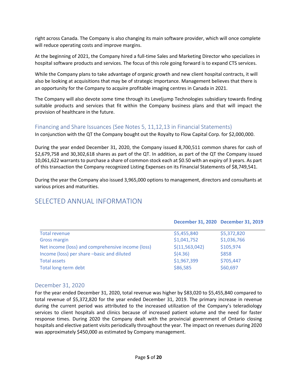right across Canada. The Company is also changing its main software provider, which will once complete will reduce operating costs and improve margins.

At the beginning of 2021, the Company hired a full-time Sales and Marketing Director who specializes in hospital software products and services. The focus of this role going forward is to expand CTS services.

While the Company plans to take advantage of organic growth and new client hospital contracts, it will also be looking at acquisitions that may be of strategic importance. Management believes that there is an opportunity for the Company to acquire profitable imaging centres in Canada in 2021.

The Company will also devote some time through its Leveljump Technologies subsidiary towards finding suitable products and services that fit within the Company business plans and that will impact the provision of healthcare in the future.

# Financing and Share Issuances (See Notes 5, 11,12,13 in Financial Statements)

In conjunction with the QT the Company bought out the Royalty to Flow Capital Corp. for \$2,000,000.

During the year ended December 31, 2020, the Company issued 8,700,511 common shares for cash of \$2,679,758 and 30,302,618 shares as part of the QT. In addition, as part of the QT the Company issued 10,061,622 warrants to purchase a share of common stock each at \$0.50 with an expiry of 3 years. As part of this transaction the Company recognized Listing Expenses on its Financial Statements of \$8,749,541.

During the year the Company also issued 3,965,000 options to management, directors and consultants at various prices and maturities.

# SELECTED ANNUAL INFORMATION

|                                                   |                  | December 31, 2020 December 31, 2019 |
|---------------------------------------------------|------------------|-------------------------------------|
| <b>Total revenue</b>                              | \$5,455,840      | \$5,372,820                         |
| <b>Gross margin</b>                               | \$1,041,752      | \$1,036,766                         |
| Net income (loss) and comprehensive income (loss) | \$(11, 563, 042) | \$105,974                           |
| Income (loss) per share -basic and diluted        | \$(4.36)         | \$858                               |
| <b>Total assets</b>                               | \$1,967,399      | \$705,447                           |
| Total long-term debt                              | \$86,585         | \$60,697                            |

# December 31, 2020

For the year ended December 31, 2020, total revenue was higher by \$83,020 to \$5,455,840 compared to total revenue of \$5,372,820 for the year ended December 31, 2019. The primary increase in revenue during the current period was attributed to the increased utilization of the Company's teleradiology services to client hospitals and clinics because of increased patient volume and the need for faster response times. During 2020 the Company dealt with the provincial government of Ontario closing hospitals and elective patient visits periodically throughout the year. The impact on revenues during 2020 was approximately \$450,000 as estimated by Company management.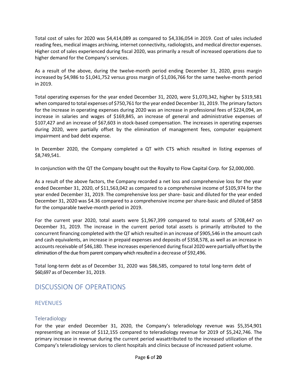Total cost of sales for 2020 was \$4,414,089 as compared to \$4,336,054 in 2019. Cost of sales included reading fees, medical images archiving, internet connectivity, radiologists, and medical director expenses. Higher cost of sales experienced during fiscal 2020, was primarily a result of increased operations due to higher demand for the Company's services.

As a result of the above, during the twelve-month period ending December 31, 2020, gross margin increased by \$4,986 to \$1,041,752 versus gross margin of \$1,036,766 for the same twelve-month period in 2019.

Total operating expenses for the year ended December 31, 2020, were \$1,070,342, higher by \$319,581 when compared to total expenses of \$750,761 for the year ended December 31, 2019. The primary factors for the increase in operating expenses during 2020 was an increase in professional fees of \$224,094, an increase in salaries and wages of \$169,845, an increase of general and administrative expenses of \$107,427 and an increase of \$67,603 in stock-based compensation. The increases in operating expenses during 2020, were partially offset by the elimination of management fees, computer equipment impairment and bad debt expense.

In December 2020, the Company completed a QT with CTS which resulted in listing expenses of \$8,749,541.

In conjunction with the QT the Company bought out the Royalty to Flow Capital Corp. for \$2,000,000.

As a result of the above factors, the Company recorded a net loss and comprehensive loss for the year ended December 31, 2020, of \$11,563,042 as compared to a comprehensive income of \$105,974 for the year ended December 31, 2019. The comprehensive loss per share- basic and diluted for the year ended December 31, 2020 was \$4.36 compared to a comprehensive income per share-basic and diluted of \$858 for the comparable twelve-month period in 2019.

For the current year 2020, total assets were \$1,967,399 compared to total assets of \$708,447 on December 31, 2019. The increase in the current period total assets is primarily attributed to the concurrent financing completed with the QT which resulted in an increase of \$905,546 in the amount cash and cash equivalents, an increase in prepaid expenses and deposits of \$358,578, as well as an increase in accounts receivable of \$46,180. These increases experienced during fiscal 2020 were partially offset by the elimination of the due from parent company which resulted in a decrease of \$92,496.

Total long-term debt as of December 31, 2020 was \$86,585, compared to total long-term debt of \$60,697 as of December 31, 2019.

# DISCUSSION OF OPERATIONS

# REVENUES

### Teleradiology

For the year ended December 31, 2020, the Company's teleradiology revenue was \$5,354,901 representing an increase of \$112,155 compared to teleradiology revenue for 2019 of \$5,242,746. The primary increase in revenue during the current period wasattributed to the increased utilization of the Company's teleradiology services to client hospitals and clinics because of increased patient volume.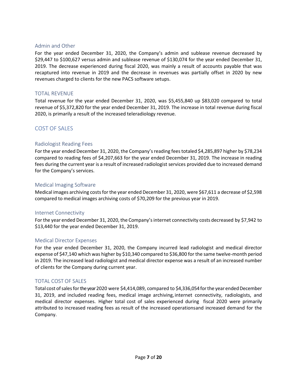### Admin and Other

For the year ended December 31, 2020, the Company's admin and sublease revenue decreased by \$29,447 to \$100,627 versus admin and sublease revenue of \$130,074 for the year ended December 31, 2019. The decrease experienced during fiscal 2020, was mainly a result of accounts payable that was recaptured into revenue in 2019 and the decrease in revenues was partially offset in 2020 by new revenues charged to clients for the new PACS software setups.

# TOTAL REVENUE

Total revenue for the year ended December 31, 2020, was \$5,455,840 up \$83,020 compared to total revenue of \$5,372,820 for the year ended December 31, 2019. The increase in total revenue during fiscal 2020, is primarily a result of the increased teleradiology revenue.

# COST OF SALES

### Radiologist Reading Fees

For the year ended December 31, 2020, the Company's reading fees totaled \$4,285,897 higher by \$78,234 compared to reading fees of \$4,207,663 for the year ended December 31, 2019. The increase in reading fees during the current year is a result of increased radiologist services provided due to increased demand for the Company's services.

### Medical Imaging Software

Medical images archiving costs for the year ended December 31, 2020, were \$67,611 a decrease of \$2,598 compared to medical images archiving costs of \$70,209 for the previous year in 2019.

### Internet Connectivity

For the year ended December 31, 2020, the Company's internet connectivity costs decreased by \$7,942 to \$13,440 for the year ended December 31, 2019.

### Medical Director Expenses

For the year ended December 31, 2020, the Company incurred lead radiologist and medical director expense of \$47,140 which was higher by \$10,340 compared to \$36,800 for the same twelve-month period in 2019. The increased lead radiologist and medical director expense was a result of an increased number of clients for the Company during current year.

### TOTAL COST OF SALES

Total cost of sales for the year 2020 were \$4,414,089, compared to \$4,336,054 for the year ended December 31, 2019, and included reading fees, medical image archiving,internet connectivity, radiologists, and medical director expenses. Higher total cost of sales experienced during fiscal 2020 were primarily attributed to increased reading fees as result of the increased operationsand increased demand for the Company.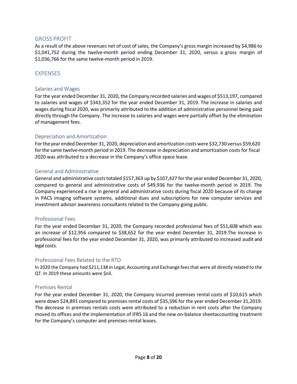### GROSS PROFIT

As a result of the above revenues net of cost of sales, the Company's gross margin increased by \$4,986 to \$1,041,752 during the twelve-month period ending December 31, 2020, versus a gross margin of \$1,036,766 for the same twelve-month period in 2019.

### **EXPENSES**

### Salaries and Wages

For the year ended December 31, 2020, the Company recorded salaries and wages of \$513,197, compared to salaries and wages of \$343,352 for the year ended December 31, 2019. The increase in salaries and wages during fiscal 2020, was primarily attributed to the addition of administrative personnel being paid directly through the Company. The increase to salaries and wages were partially offset by the elimination of management fees.

### Depreciation and Amortization

For the year ended December 31, 2020, depreciation and amortization costs were \$32,730 versus \$59,620 forthe same twelve-month period in 2019. The decrease in depreciation and amortization costs for fiscal 2020 was attributed to a decrease in the Company's office space lease.

### General and Administrative

General and administrative costs totaled \$157,363 up by \$107,427 for the year ended December 31, 2020, compared to general and administrative costs of \$49,936 for the twelve-month period in 2019. The Company experienced a rise in general and administrative costs during fiscal 2020 because of its change in PACS imaging software systems, additional dues and subscriptions for new computer services and investment advisor awareness consultants related to the Company going public.

### Professional Fees

For the year ended December 31, 2020, the Company recorded professional fees of \$51,608 which was an increase of \$12,956 compared to \$38,652 for the year ended December 31, 2019.The increase in professional fees for the year ended December 31, 2020, was primarily attributed to increased audit and legal costs.

### Professional Fees Related to the RTO

In 2020 the Company had \$211,138 in Legal, Accounting and Exchange fees that were all directly related to the QT. In 2019 these amounts were \$nil.

### Premises Rental

For the year ended December 31, 2020, the Company incurred premises rental costs of \$10,615 which were down \$24,891 compared to premises rental costs of \$35,596 for the year ended December 31,2019. The decrease in premises rentals costs were attributed to a reduction in rent costs after the Company moved its offices and the implementation of IFRS 16 and the new on-balance sheetaccounting treatment for the Company's computer and premises rental leases.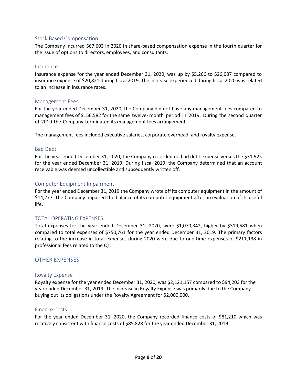### Stock Based Compensation

The Company incurred \$67,603 in 2020 in share-based compensation expense in the fourth quarter for the issue of options to directors, employees, and consultants.

#### Insurance

Insurance expense for the year ended December 31, 2020, was up by \$5,266 to \$26,087 compared to insurance expense of \$20,821 during fiscal 2019. The increase experienced during fiscal 2020 was related to an increase in insurance rates.

### Management Fees

For the year ended December 31, 2020, the Company did not have any management fees compared to management fees of \$156,582 for the same twelve- month period in 2019. During the second quarter of 2019 the Company terminated its management fees arrangement.

The management fees included executive salaries, corporate overhead, and royalty expense.

### Bad Debt

For the year ended December 31, 2020, the Company recorded no bad debt expense versus the \$31,925 for the year ended December 31, 2019. During fiscal 2019, the Company determined that an account receivable was deemed uncollectible and subsequently written off.

### Computer Equipment Impairment

For the year ended December 31, 2019 the Company wrote off its computer equipment in the amount of \$14,277. The Company impaired the balance of its computer equipment after an evaluation of its useful life.

### TOTAL OPERATING EXPENSES

Total expenses for the year ended December 31, 2020, were \$1,070,342, higher by \$319,581 when compared to total expenses of \$750,761 for the year ended December 31, 2019. The primary factors relating to the increase in total expenses during 2020 were due to one-time expenses of \$211,138 in professional fees related to the QT.

### OTHER EXPENSES

### Royalty Expense

Royalty expense for the year ended December 31, 2020, was \$2,121,157 compared to \$94,203 for the year ended December 31, 2019. The increase in Royalty Expense was primarily due to the Company buying out its obligations under the Royalty Agreement for \$2,000,000.

### Finance Costs

For the year ended December 31, 2020, the Company recorded finance costs of \$81,210 which was relatively consistent with finance costs of \$85,828 for the year ended December 31, 2019.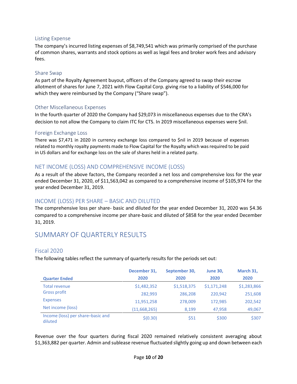### Listing Expense

The company's incurred listing expenses of \$8,749,541 which was primarily comprised of the purchase of common shares, warrants and stock options as well as legal fees and broker work fees and advisory fees.

### Share Swap

As part of the Royalty Agreement buyout, officers of the Company agreed to swap their escrow allotment of shares for June 7, 2021 with Flow Capital Corp. giving rise to a liability of \$546,000 for which they were reimbursed by the Company ("Share swap").

### Other Miscellaneous Expenses

In the fourth quarter of 2020 the Company had \$29,073 in miscellaneous expenses due to the CRA's decision to not allow the Company to claim ITC for CTS. In 2019 miscellaneous expenses were \$nil.

### Foreign Exchange Loss

There was \$7,471 in 2020 in currency exchange loss compared to \$nil in 2019 because of expenses related to monthly royalty payments made to Flow Capital for the Royalty which was required to be paid in US dollars and for exchange loss on the sale of shares held in a related party.

# NET INCOME (LOSS) AND COMPREHENSIVE INCOME (LOSS)

As a result of the above factors, the Company recorded a net loss and comprehensive loss for the year ended December 31, 2020, of \$11,563,042 as compared to a comprehensive income of \$105,974 for the year ended December 31, 2019.

# INCOME (LOSS) PER SHARE – BASIC AND DILUTED

The comprehensive loss per share- basic and diluted for the year ended December 31, 2020 was \$4.36 compared to a comprehensive income per share-basic and diluted of \$858 for the year ended December 31, 2019.

# SUMMARY OF QUARTERLY RESULTS

### Fiscal 2020

The following tables reflect the summary of quarterly results for the periods set out:

|                                              | December 31, | September 30, | <b>June 30,</b> | March 31,   |
|----------------------------------------------|--------------|---------------|-----------------|-------------|
| <b>Quarter Ended</b>                         | 2020         | 2020          | 2020            | 2020        |
| <b>Total revenue</b>                         | \$1,482,352  | \$1,518,375   | \$1,171,248     | \$1,283,866 |
| <b>Gross profit</b>                          | 282,993      | 286,208       | 220,942         | 251,608     |
| <b>Expenses</b>                              | 11,951,258   | 278,009       | 172,985         | 202,542     |
| Net income (loss)                            | (11,668,265) | 8,199         | 47,958          | 49,067      |
| Income (loss) per share-basic and<br>diluted | \$(0.30)     | \$51          | \$300           | \$307       |

Revenue over the four quarters during fiscal 2020 remained relatively consistent averaging about \$1,363,882 per quarter. Admin and sublease revenue fluctuated slightly going up and down between each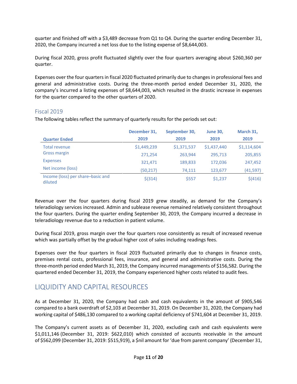quarter and finished off with a \$3,489 decrease from Q1 to Q4. During the quarter ending December 31, 2020, the Company incurred a net loss due to the listing expense of \$8,644,003.

During fiscal 2020, gross profit fluctuated slightly over the four quarters averaging about \$260,360 per quarter.

Expenses over the four quarters in fiscal 2020 fluctuated primarily due to changes in professional fees and general and administrative costs. During the three-month period ended December 31, 2020, the company's incurred a listing expenses of \$8,644,003, which resulted in the drastic increase in expenses for the quarter compared to the other quarters of 2020.

## Fiscal 2019

The following tables reflect the summary of quarterly results for the periods set out:

|                                              | December 31, | September 30, | <b>June 30,</b> | March 31,   |
|----------------------------------------------|--------------|---------------|-----------------|-------------|
| <b>Quarter Ended</b>                         | 2019         | 2019          | 2019            | 2019        |
| Total revenue                                | \$1,449,239  | \$1,371,537   | \$1,437,440     | \$1,114,604 |
| <b>Gross margin</b>                          | 271,254      | 263,944       | 295,713         | 205,855     |
| <b>Expenses</b>                              | 321,471      | 189,833       | 172.036         | 247,452     |
| Net income (loss)                            | (50, 217)    | 74,111        | 123,677         | (41, 597)   |
| Income (loss) per share-basic and<br>diluted | $$$ (314)    | \$557         | \$1,237         | \$(416)     |

Revenue over the four quarters during fiscal 2019 grew steadily, as demand for the Company's teleradiology services increased. Admin and sublease revenue remained relatively consistent throughout the four quarters. During the quarter ending September 30, 2019, the Company incurred a decrease in teleradiology revenue due to a reduction in patient volume.

During fiscal 2019, gross margin over the four quarters rose consistently as result of increased revenue which was partially offset by the gradual higher cost of sales including readings fees.

Expenses over the four quarters in fiscal 2019 fluctuated primarily due to changes in finance costs, premises rental costs, professional fees, insurance, and general and administrative costs. During the three-month period ended March 31, 2019, the Company incurred managements of \$156,582. During the quartered ended December 31, 2019, the Company experienced higher costs related to audit fees.

# LIQUIDITY AND CAPITAL RESOURCES

As at December 31, 2020, the Company had cash and cash equivalents in the amount of \$905,546 compared to a bank overdraft of \$2,103 at December 31, 2019. On December 31, 2020, the Company had working capital of \$486,130 compared to a working capital deficiency of \$741,604 at December 31, 2019.

The Company's current assets as of December 31, 2020, excluding cash and cash equivalents were \$1,011,146 (December 31, 2019: \$622,010) which consisted of accounts receivable in the amount of \$562,099 (December 31, 2019: \$515,919), a \$nil amount for 'due from parent company' (December 31,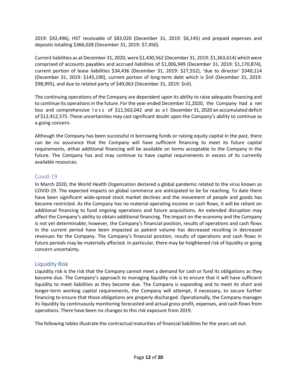2019: \$92,496), HST receivable of \$83,020 (December 31, 2019: \$6,145) and prepaid expenses and deposits totalling \$366,028 (December 31, 2019: \$7,450).

Current liabilities as at December 31, 2020, were \$1,430,562 (December 31, 2019: \$1,363,614) which were comprised of accounts payables and accrued liabilities of \$1,006,949 (December 31, 2019: \$1,170,874), current portion of lease liabilities \$34,436 (December 31, 2019: \$27,552), 'due to director' \$340,114 (December 31, 2019: \$145,190), current portion of long-term debt which is \$nil (December 31, 2019: \$98,995), and due to related party of \$49,063 (December 31, 2019: \$nil).

The continuing operations of the Company are dependent upon its ability to raise adequate financing and to continue its operations in the future. For the year ended December 31,2020, the Company had a net loss and comprehensive loss of \$11,563,042 and as a t December 31, 2020 an accumulated deficit of \$12,412,575. These uncertainties may castsignificant doubt upon the Company's ability to continue as a going concern.

Although the Company has been successful in borrowing funds or raising equity capital in the past, there can be no assurance that the Company will have sufficient financing to meet its future capital requirements, orthat additional financing will be available on terms acceptable to the Company in the future. The Company has and may continue to have capital requirements in excess of its currently available resources.

# Covid-19

In March 2020, the World Health Organization declared a global pandemic related to the virus known as COVID-19. The expected impacts on global commerce are anticipated to be far reaching. To date there have been significant wide-spread stock market declines and the movement of people and goods has become restricted. As the Company has no material operating income or cash flows, it will be reliant on additional financing to fund ongoing operations and future acquisitions. An extended disruption may affect the Company's ability to obtain additional financing. The impact on the economy and the Company is not yet determinable; however, the Company's financial position, results of operations and cash flows in the current period have been impacted as patient volume has decreased resulting in decreased revenues for the Company. The Company's financial position, results of operations and cash flows in future periods may be materially affected. In particular, there may be heightened risk of liquidity or going concern uncertainty.

# Liquidity Risk

Liquidity risk is the risk that the Company cannot meet a demand for cash or fund its obligations as they become due. The Company's approach to managing liquidity risk is to ensure that it will have sufficient liquidity to meet liabilities as they become due. The Company is expanding and to meet its short and longer-term working capital requirements, the Company will attempt, if necessary, to secure further financing to ensure that those obligations are properly discharged. Operationally, the Company manages its liquidity by continuously monitoring forecasted and actual gross profit, expenses, and cash flows from operations. There have been no changes to this risk exposure from 2019.

The following tables illustrate the contractual maturities of financial liabilitiesforthe years set out: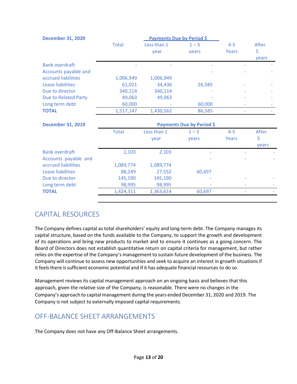| <b>December 31, 2020</b> | <b>Payments Due by Period \$</b> |             |         |         |       |
|--------------------------|----------------------------------|-------------|---------|---------|-------|
|                          | <b>Total</b>                     | Less than 1 | $1 - 3$ | $4 - 5$ | After |
|                          |                                  | vear        | vears   | Years   | 5     |
|                          |                                  |             |         |         | years |
| <b>Bank overdraft</b>    |                                  |             |         |         |       |
| Accounts payable and     |                                  |             |         |         |       |
| accrued liabilities      | 1,006,949                        | 1,006,949   |         |         |       |
| Lease liabilities        | 61,021                           | 34,436      | 26,585  |         |       |
| Due to director          | 340,114                          | 340,114     |         |         |       |
| Due to Related Party     | 49,063                           | 49,063      |         |         |       |
| Long term debt           | 60,000                           |             | 60,000  |         |       |
| <b>TOTAL</b>             | 1,517,147                        | 1,430,562   | 86,585  |         |       |

| <b>December 31, 2019</b>                      | Payments Due by Period \$ |                     |                  |                  |                     |
|-----------------------------------------------|---------------------------|---------------------|------------------|------------------|---------------------|
|                                               | <b>Total</b>              | Less than 1<br>year | $1 - 3$<br>years | $4 - 5$<br>Years | After<br>5<br>years |
| <b>Bank overdraft</b><br>Accounts payable and | 2,103                     | 2,103               |                  |                  |                     |
| accrued liabilities<br>Lease liabilities      | 1,089,774<br>88,249       | 1,089,774<br>27,552 | 60,697           |                  |                     |
| Due to director                               | 145,190                   | 145,190             |                  |                  |                     |
| Long term debt                                | 98,995                    | 98,995              |                  |                  |                     |
| <b>TOTAL</b>                                  | 1,424,311                 | 1,363,614           | 60,697           | ٠                |                     |

# CAPITAL RESOURCES

The Company defines capital as total shareholders' equity and long-term debt. The Company manages its capital structure, based on the funds available to the Company, to support the growth and development of its operations and bring new products to market and to ensure it continues as a going concern. The Board of Directors does not establish quantitative return on capital criteria for management, but rather relies on the expertise of the Company's management to sustain future development of the business. The Company will continue to assess new opportunities and seek to acquire an interest in growth situationsif it feels there is sufficient economic potential and if it has adequate financial resources to do so.

Management reviews its capital management approach on an ongoing basis and believes that this approach, given the relative size of the Company, is reasonable. There were no changes in the Company's approach to capital management during the years ended December 31, 2020 and 2019. The Company is not subject to externally imposed capital requirements.

# OFF-BALANCE SHEET ARRANGEMENTS

The Company does not have any Off-Balance Sheet arrangements.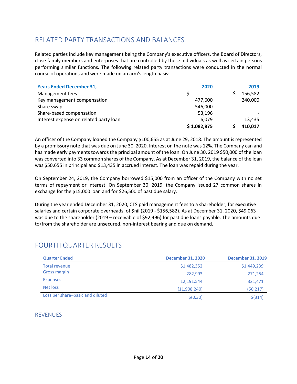# RELATED PARTY TRANSACTIONS AND BALANCES

Related parties include key management being the Company's executive officers, the Board of Directors, close family members and enterprises that are controlled by these individuals as well as certain persons performing similar functions. The following related party transactions were conducted in the normal course of operations and were made on an arm's length basis:

| <b>Years Ended December 31,</b>        |         | 2020                     |         | 2019    |
|----------------------------------------|---------|--------------------------|---------|---------|
| Management fees                        |         | $\overline{\phantom{0}}$ |         | 156,582 |
| Key management compensation            | 477,600 |                          | 240,000 |         |
| Share swap                             | 546,000 |                          |         |         |
| Share-based compensation               | 53,196  |                          |         |         |
| Interest expense on related party loan | 6.079   |                          | 13.435  |         |
|                                        |         | \$1,082,875              |         | 410,017 |

An officer of the Company loaned the Company \$100,655 as at June 29, 2018. The amount is represented by a promissory note that was due on June 30, 2020. Interest on the note was 12%. The Company can and has made early payments towards the principal amount of the loan. On June 30, 2019 \$50,000 of the loan was converted into 33 common shares of the Company. As at December 31, 2019, the balance of the loan was \$50,655 in principal and \$13,435 in accrued interest. The loan was repaid during the year.

On September 24, 2019, the Company borrowed \$15,000 from an officer of the Company with no set terms of repayment or interest. On September 30, 2019, the Company issued 27 common shares in exchange for the \$15,000 loan and for \$26,500 of past due salary.

During the year ended December 31, 2020, CTS paid management fees to a shareholder, for executive salaries and certain corporate overheads, of \$nil (2019 - \$156,582). As at December 31, 2020, \$49,063 was due to the shareholder (2019 – receivable of \$92,496) for past due loans payable. The amounts due to/from the shareholder are unsecured, non-interest bearing and due on demand.

# FOURTH QUARTER RESULTS

| <b>Quarter Ended</b>             | <b>December 31, 2020</b> | <b>December 31, 2019</b> |
|----------------------------------|--------------------------|--------------------------|
| Total revenue                    | \$1,482,352              | \$1,449,239              |
| <b>Gross margin</b>              | 282.993                  | 271,254                  |
| <b>Expenses</b>                  | 12,191,544               | 321,471                  |
| Net loss                         | (11,908,240)             | (50, 217)                |
| Loss per share-basic and diluted | \$(0.30)                 | $$$ (314)                |

# REVENUES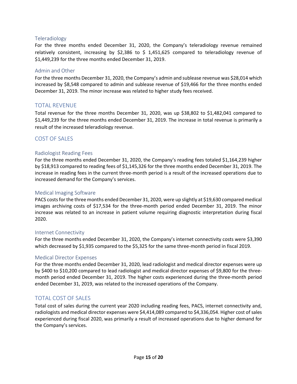### Teleradiology

For the three months ended December 31, 2020, the Company's teleradiology revenue remained relatively consistent, increasing by \$2,386 to \$1,451,625 compared to teleradiology revenue of \$1,449,239 for the three months ended December 31, 2019.

### Admin and Other

For the three months December 31, 2020, the Company's admin and sublease revenue was \$28,014 which increased by \$8,548 compared to admin and sublease revenue of \$19,466 for the three months ended December 31, 2019. The minor increase was related to higher study fees received.

## TOTAL REVENUE

Total revenue for the three months December 31, 2020, was up \$38,802 to \$1,482,041 compared to \$1,449,239 for the three months ended December 31, 2019. The increase in total revenue is primarily a result of the increased teleradiology revenue.

## COST OF SALES

### Radiologist Reading Fees

For the three months ended December 31, 2020, the Company's reading fees totaled \$1,164,239 higher by \$18,913 compared to reading fees of \$1,145,326 for the three months ended December 31, 2019. The increase in reading fees in the current three-month period is a result of the increased operations due to increased demand for the Company's services.

### Medical Imaging Software

PACS costs for the three months ended December 31, 2020, were up slightly at \$19,630 compared medical images archiving costs of \$17,534 for the three-month period ended December 31, 2019. The minor increase was related to an increase in patient volume requiring diagnostic interpretation during fiscal 2020.

### Internet Connectivity

For the three months ended December 31, 2020, the Company's internet connectivity costs were \$3,390 which decreased by \$1,935 compared to the \$5,325 for the same three-month period in fiscal 2019.

### Medical Director Expenses

For the three months ended December 31, 2020, lead radiologist and medical director expenses were up by \$400 to \$10,200 compared to lead radiologist and medical director expenses of \$9,800 for the threemonth period ended December 31, 2019. The higher costs experienced during the three-month period ended December 31, 2019, was related to the increased operations of the Company.

### TOTAL COST OF SALES

Total cost of sales during the current year 2020 including reading fees, PACS, internet connectivity and, radiologists and medical director expenses were \$4,414,089 compared to \$4,336,054. Higher cost of sales experienced during fiscal 2020, was primarily a result of increased operations due to higher demand for the Company's services.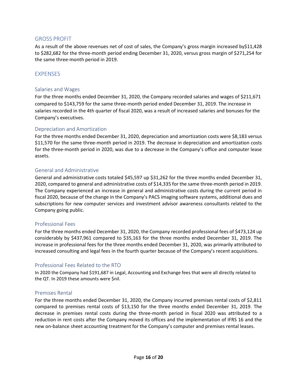### GROSS PROFIT

As a result of the above revenues net of cost of sales, the Company's gross margin increased by\$11,428 to \$282,682 for the three-month period ending December 31, 2020, versus gross margin of \$271,254 for the same three-month period in 2019.

### EXPENSES

### Salaries and Wages

For the three months ended December 31, 2020, the Company recorded salaries and wages of \$211,671 compared to \$143,759 for the same three-month period ended December 31, 2019. The increase in salaries recorded in the 4th quarter of fiscal 2020, was a result of increased salaries and bonuses for the Company's executives.

### Depreciation and Amortization

For the three months ended December 31, 2020, depreciation and amortization costs were \$8,183 versus \$11,570 for the same three-month period in 2019. The decrease in depreciation and amortization costs for the three-month period in 2020, was due to a decrease in the Company's office and computer lease assets.

### General and Administrative

General and administrative costs totaled \$45,597 up \$31,262 for the three months ended December 31, 2020, compared to general and administrative costs of \$14,335 for the same three-month period in 2019. The Company experienced an increase in general and administrative costs during the current period in fiscal 2020, because of the change in the Company's PACS imaging software systems, additional dues and subscriptions for new computer services and investment advisor awareness consultants related to the Company going public.

### Professional Fees

For the three months ended December 31, 2020, the Company recorded professional fees of \$473,124 up considerably by \$437,961 compared to \$35,163 for the three months ended December 31, 2019. The increase in professional fees for the three months ended December 31, 2020, was primarily attributed to increased consulting and legal fees in the fourth quarter because of the Company's recent acquisitions.

### Professional Fees Related to the RTO

In 2020 the Company had \$191,687 in Legal, Accounting and Exchange fees that were all directly related to the QT. In 2019 these amounts were \$nil.

### Premises Rental

For the three months ended December 31, 2020, the Company incurred premises rental costs of \$2,811 compared to premises rental costs of \$13,150 for the three months ended December 31, 2019. The decrease in premises rental costs during the three-month period in fiscal 2020 was attributed to a reduction in rent costs after the Company moved its offices and the implementation of IFRS 16 and the new on-balance sheet accounting treatment for the Company's computer and premises rental leases.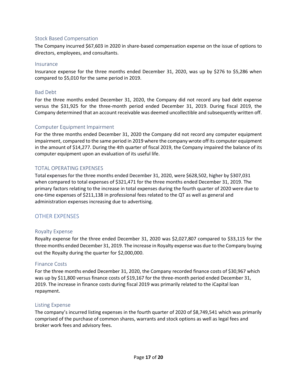### Stock Based Compensation

The Company incurred \$67,603 in 2020 in share-based compensation expense on the issue of options to directors, employees, and consultants.

#### Insurance

Insurance expense for the three months ended December 31, 2020, was up by \$276 to \$5,286 when compared to \$5,010 for the same period in 2019.

### Bad Debt

For the three months ended December 31, 2020, the Company did not record any bad debt expense versus the \$31,925 for the three-month period ended December 31, 2019. During fiscal 2019, the Company determined that an account receivable was deemed uncollectible and subsequently written off.

### Computer Equipment Impairment

For the three months ended December 31, 2020 the Company did not record any computer equipment impairment, compared to the same period in 2019 where the company wrote off its computer equipment in the amount of \$14,277. During the 4th quarter of fiscal 2019, the Company impaired the balance of its computer equipment upon an evaluation of its useful life.

### TOTAL OPERATING EXPENSES

Total expenses for the three months ended December 31, 2020, were \$628,502, higher by \$307,031 when compared to total expenses of \$321,471 for the three months ended December 31, 2019. The primary factors relating to the increase in total expenses during the fourth quarter of 2020 were due to one-time expenses of \$211,138 in professional fees related to the QT as well as general and administration expenses increasing due to advertising.

### OTHER EXPENSES

### Royalty Expense

Royalty expense for the three ended December 31, 2020 was \$2,027,807 compared to \$33,115 for the three months ended December 31, 2019. The increase in Royalty expense was due to the Company buying out the Royalty during the quarter for \$2,000,000.

### Finance Costs

For the three months ended December 31, 2020, the Company recorded finance costs of \$30,967 which was up by \$11,800 versus finance costs of \$19,167 for the three-month period ended December 31, 2019. The increase in finance costs during fiscal 2019 was primarily related to the iCapital loan repayment.

### Listing Expense

The company's incurred listing expenses in the fourth quarter of 2020 of \$8,749,541 which was primarily comprised of the purchase of common shares, warrants and stock options as well as legal fees and broker work fees and advisory fees.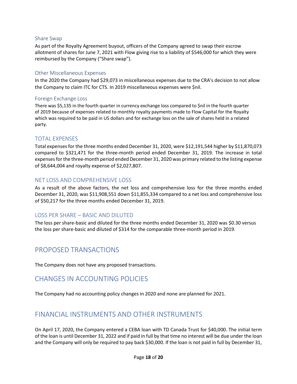### Share Swap

As part of the Royalty Agreement buyout, officers of the Company agreed to swap their escrow allotment of shares for June 7, 2021 with Flow giving rise to a liability of \$546,000 for which they were reimbursed by the Company ("Share swap").

### Other Miscellaneous Expenses

In the 2020 the Company had \$29,073 in miscellaneous expenses due to the CRA's decision to not allow the Company to claim ITC for CTS. In 2019 miscellaneous expenses were \$nil.

### Foreign Exchange Loss

There was \$5,135 in the fourth quarter in currency exchange loss compared to \$nil in the fourth quarter of 2019 because of expenses related to monthly royalty payments made to Flow Capital for the Royalty which was required to be paid in US dollars and for exchange loss on the sale of shares held in a related party.

# TOTAL EXPENSES

Total expenses for the three months ended December 31, 2020, were \$12,191,544 higher by \$11,870,073 compared to \$321,471 for the three-month period ended December 31, 2019. The increase in total expenses for the three-month period ended December 31, 2020 was primary related to the listing expense of \$8,644,004 and royalty expense of \$2,027,807.

# NET LOSS AND COMPREHENSIVE LOSS

As a result of the above factors, the net loss and comprehensive loss for the three months ended December 31, 2020, was \$11,908,551 down \$11,855,334 compared to a net loss and comprehensive loss of \$50,217 for the three months ended December 31, 2019.

# LOSS PER SHARE – BASIC AND DILUTED

The loss per share-basic and diluted for the three months ended December 31, 2020 was \$0.30 versus the loss per share-basic and diluted of \$314 for the comparable three-month period in 2019.

# PROPOSED TRANSACTIONS

The Company does not have any proposed transactions.

# CHANGES IN ACCOUNTING POLICIES

The Company had no accounting policy changes in 2020 and none are planned for 2021.

# FINANCIAL INSTRUMENTS AND OTHER INSTRUMENTS

On April 17, 2020, the Company entered a CEBA loan with TD Canada Trust for \$40,000. The initial term of the loan is until December 31, 2022 and if paid in full by that time no interest will be due under the loan and the Company will only be required to pay back \$30,000. If the loan is not paid in full by December 31,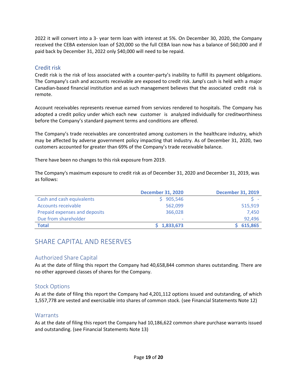2022 it will convert into a 3- year term loan with interest at 5%. On December 30, 2020, the Company received the CEBA extension loan of \$20,000 so the full CEBA loan now has a balance of \$60,000 and if paid back by December 31, 2022 only \$40,000 will need to be repaid.

# Credit risk

Credit risk is the risk of loss associated with a counter-party's inability to fulfill its payment obligations. The Company's cash and accounts receivable are exposed to credit risk. Jump's cash is held with a major Canadian-based financial institution and as such management believes that the associated credit risk is remote.

Account receivables represents revenue earned from services rendered to hospitals. The Company has adopted a credit policy under which each new customer is analyzed individually for creditworthiness before the Company's standard payment terms and conditions are offered.

The Company's trade receivables are concentrated among customers in the healthcare industry, which may be affected by adverse government policy impacting that industry. As of December 31, 2020, two customers accounted for greater than 69% of the Company's trade receivable balance.

There have been no changes to this risk exposure from 2019.

The Company's maximum exposure to credit risk as of December 31, 2020 and December 31, 2019, was as follows:

|                               | <b>December 31, 2020</b> | <b>December 31, 2019</b> |
|-------------------------------|--------------------------|--------------------------|
| Cash and cash equivalents     | \$905,546                |                          |
| <b>Accounts receivable</b>    | 562,099                  | 515,919                  |
| Prepaid expenses and deposits | 366,028                  | 7,450                    |
| Due from shareholder          | ٠                        | 92,496                   |
| <b>Total</b>                  | 1,833,673                | 615,865                  |

# SHARE CAPITAL AND RESERVES

# Authorized Share Capital

As at the date of filing this report the Company had 40,658,844 common shares outstanding. There are no other approved classes of shares for the Company.

# Stock Options

As at the date of filing this report the Company had 4,201,112 options issued and outstanding, of which 1,557,778 are vested and exercisable into shares of common stock. (see Financial Statements Note 12)

# **Warrants**

As at the date of filing this report the Company had 10,186,622 common share purchase warrants issued and outstanding. (see Financial Statements Note 13)